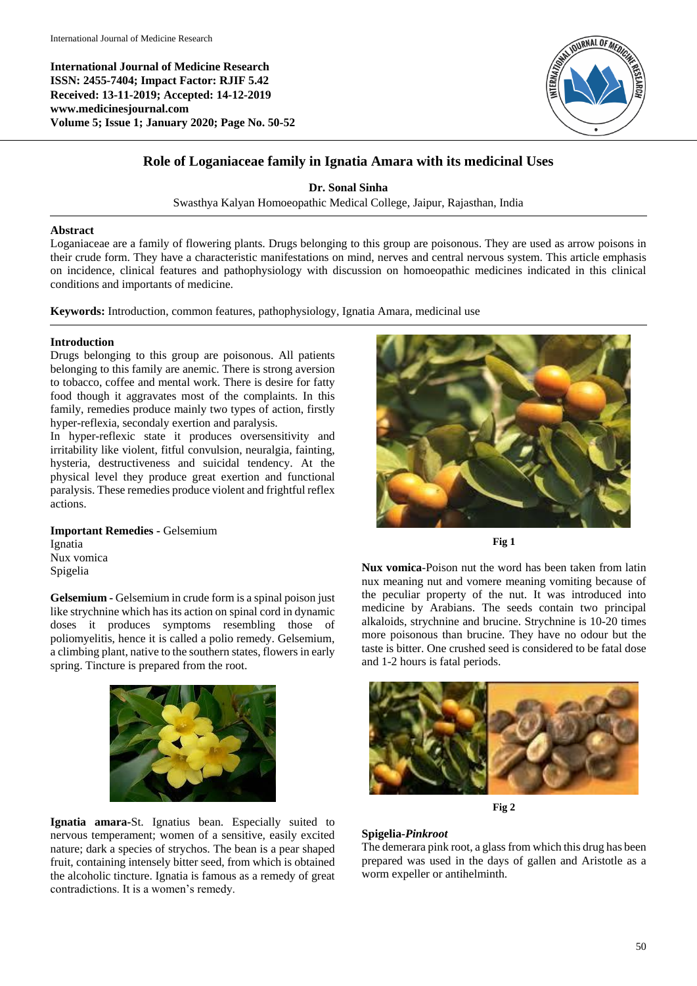**International Journal of Medicine Research ISSN: 2455-7404; Impact Factor: RJIF 5.42 Received: 13-11-2019; Accepted: 14-12-2019 www.medicinesjournal.com Volume 5; Issue 1; January 2020; Page No. 50-52**



# **Role of Loganiaceae family in Ignatia Amara with its medicinal Uses**

**Dr. Sonal Sinha**

Swasthya Kalyan Homoeopathic Medical College, Jaipur, Rajasthan, India

### **Abstract**

Loganiaceae are a family of flowering plants. Drugs belonging to this group are poisonous. They are used as arrow poisons in their crude form. They have a characteristic manifestations on mind, nerves and central nervous system. This article emphasis on incidence, clinical features and pathophysiology with discussion on homoeopathic medicines indicated in this clinical conditions and importants of medicine.

**Keywords:** Introduction, common features, pathophysiology, Ignatia Amara, medicinal use

#### **Introduction**

Drugs belonging to this group are poisonous. All patients belonging to this family are anemic. There is strong aversion to tobacco, coffee and mental work. There is desire for fatty food though it aggravates most of the complaints. In this family, remedies produce mainly two types of action, firstly hyper-reflexia, secondaly exertion and paralysis.

In hyper-reflexic state it produces oversensitivity and irritability like violent, fitful convulsion, neuralgia, fainting, hysteria, destructiveness and suicidal tendency. At the physical level they produce great exertion and functional paralysis. These remedies produce violent and frightful reflex actions.

**Important Remedies -** Gelsemium Ignatia Nux vomica Spigelia

**Gelsemium -** Gelsemium in crude form is a spinal poison just like strychnine which has its action on spinal cord in dynamic doses it produces symptoms resembling those of poliomyelitis, hence it is called a polio remedy. Gelsemium, a climbing plant, native to the southern states, flowers in early spring. Tincture is prepared from the root.



**Ignatia amara-**St. Ignatius bean. Especially suited to nervous temperament; women of a sensitive, easily excited nature; dark a species of strychos. The bean is a pear shaped fruit, containing intensely bitter seed, from which is obtained the alcoholic tincture. Ignatia is famous as a remedy of great contradictions. It is a women's remedy.



**Fig 1**

**Nux vomica**-Poison nut the word has been taken from latin nux meaning nut and vomere meaning vomiting because of the peculiar property of the nut. It was introduced into medicine by Arabians. The seeds contain two principal alkaloids, strychnine and brucine. Strychnine is 10-20 times more poisonous than brucine. They have no odour but the taste is bitter. One crushed seed is considered to be fatal dose and 1-2 hours is fatal periods.





# **Spigelia-***Pinkroot*

The demerara pink root, a glass from which this drug has been prepared was used in the days of gallen and Aristotle as a worm expeller or antihelminth.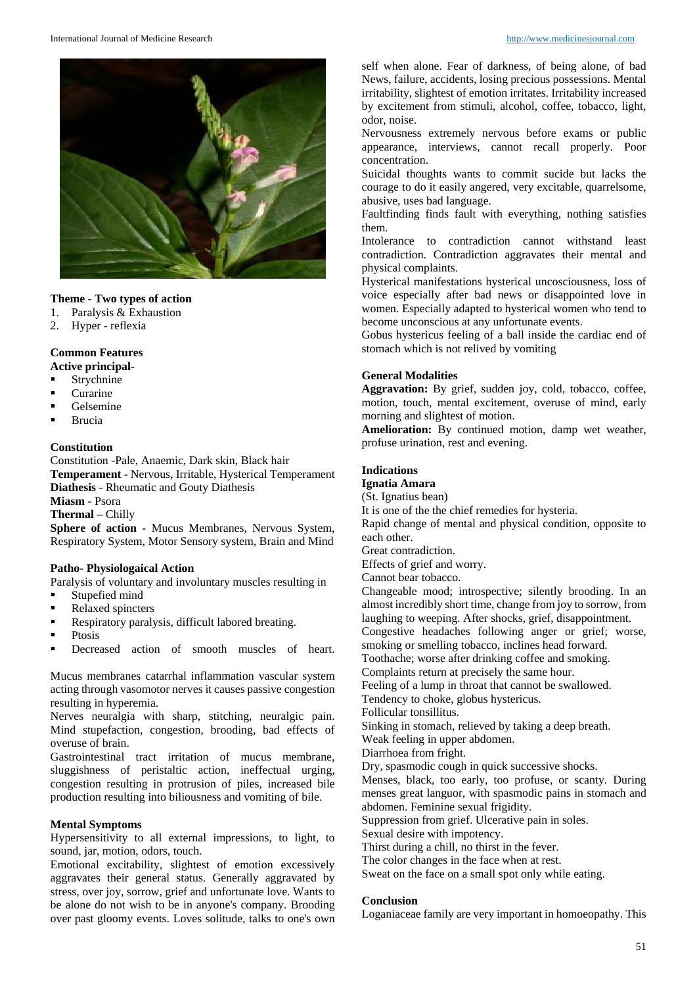

# **Theme** - **Two types of action**

- 1. Paralysis & Exhaustion
- 2. Hyper reflexia

# **Common Features**

- **Active principal-**
- **Strychnine**
- **Curarine**
- Gelsemine
- Brucia

#### **Constitution**

Constitution -Pale, Anaemic, Dark skin, Black hair **Temperament -** Nervous, Irritable, Hysterical Temperament **Diathesis** - Rheumatic and Gouty Diathesis

**Miasm -** Psora

**Thermal –** Chilly

**Sphere of action -** Mucus Membranes, Nervous System, Respiratory System, Motor Sensory system, Brain and Mind

# **Patho- Physiologaical Action**

Paralysis of voluntary and involuntary muscles resulting in

- **Stupefied mind**
- Relaxed spincters
- Respiratory paralysis, difficult labored breating.
- Ptosis
- **Decreased action of smooth muscles of heart.**

Mucus membranes catarrhal inflammation vascular system acting through vasomotor nerves it causes passive congestion resulting in hyperemia.

Nerves neuralgia with sharp, stitching, neuralgic pain. Mind stupefaction, congestion, brooding, bad effects of overuse of brain.

Gastrointestinal tract irritation of mucus membrane, sluggishness of peristaltic action, ineffectual urging, congestion resulting in protrusion of piles, increased bile production resulting into biliousness and vomiting of bile.

# **Mental Symptoms**

Hypersensitivity to all external impressions, to light, to sound, jar, motion, odors, touch.

Emotional excitability, slightest of emotion excessively aggravates their general status. Generally aggravated by stress, over joy, sorrow, grief and unfortunate love. Wants to be alone do not wish to be in anyone's company. Brooding over past gloomy events. Loves solitude, talks to one's own

self when alone. Fear of darkness, of being alone, of bad News, failure, accidents, losing precious possessions. Mental irritability, slightest of emotion irritates. Irritability increased by excitement from stimuli, alcohol, coffee, tobacco, light, odor, noise.

Nervousness extremely nervous before exams or public appearance, interviews, cannot recall properly. Poor concentration.

Suicidal thoughts wants to commit sucide but lacks the courage to do it easily angered, very excitable, quarrelsome, abusive, uses bad language.

Faultfinding finds fault with everything, nothing satisfies them.

Intolerance to contradiction cannot withstand least contradiction. Contradiction aggravates their mental and physical complaints.

Hysterical manifestations hysterical uncosciousness, loss of voice especially after bad news or disappointed love in women. Especially adapted to hysterical women who tend to become unconscious at any unfortunate events.

Gobus hystericus feeling of a ball inside the cardiac end of stomach which is not relived by vomiting

# **General Modalities**

**Aggravation:** By grief, sudden joy, cold, tobacco, coffee, motion, touch, mental excitement, overuse of mind, early morning and slightest of motion.

**Amelioration:** By continued motion, damp wet weather, profuse urination, rest and evening.

# **Indications**

**Ignatia Amara**

(St. Ignatius bean)

It is one of the the chief remedies for hysteria.

Rapid change of mental and physical condition, opposite to each other.

Great contradiction.

Effects of grief and worry.

Cannot bear tobacco.

Changeable mood; introspective; silently brooding. In an almost incredibly short time, change from joy to sorrow, from laughing to weeping. After shocks, grief, disappointment.

Congestive headaches following anger or grief; worse,

smoking or smelling tobacco, inclines head forward.

Toothache; worse after drinking coffee and smoking.

Complaints return at precisely the same hour.

Feeling of a lump in throat that cannot be swallowed.

Tendency to choke, globus hystericus.

Follicular tonsillitus.

Sinking in stomach, relieved by taking a deep breath.

Weak feeling in upper abdomen.

Diarrhoea from fright.

Dry, spasmodic cough in quick successive shocks.

Menses, black, too early, too profuse, or scanty. During menses great languor, with spasmodic pains in stomach and abdomen. Feminine sexual frigidity.

Suppression from grief. Ulcerative pain in soles.

Sexual desire with impotency.

Thirst during a chill, no thirst in the fever.

The color changes in the face when at rest.

Sweat on the face on a small spot only while eating.

### **Conclusion**

Loganiaceae family are very important in homoeopathy. This